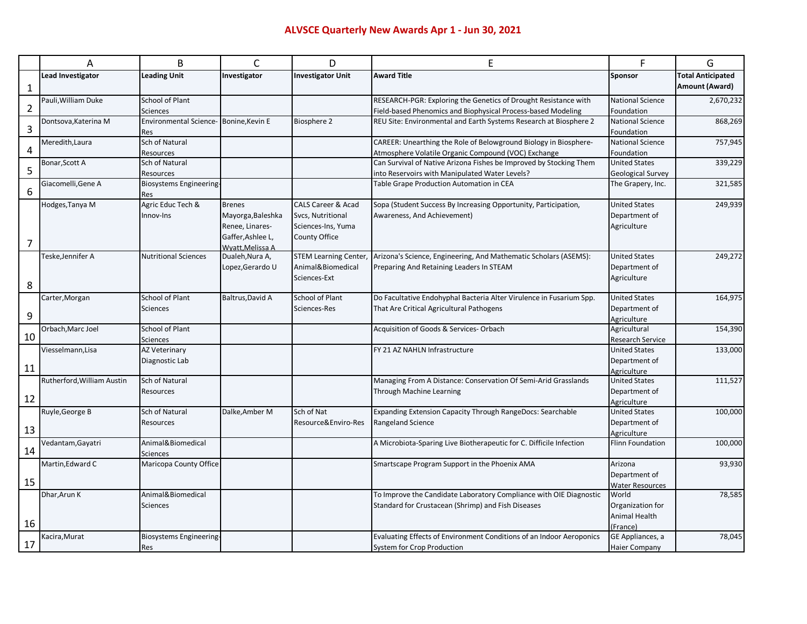## **ALVSCE Quarterly New Awards Apr 1 - Jun 30, 2021**

|              | Α                          | B                                     | C                 | D                             | E                                                                    | F                               | G                        |  |
|--------------|----------------------------|---------------------------------------|-------------------|-------------------------------|----------------------------------------------------------------------|---------------------------------|--------------------------|--|
|              | Lead Investigator          | <b>Leading Unit</b>                   | Investigator      | <b>Investigator Unit</b>      | <b>Award Title</b>                                                   | Sponsor                         | <b>Total Anticipated</b> |  |
| $\mathbf{1}$ |                            |                                       |                   |                               |                                                                      |                                 | <b>Amount (Award)</b>    |  |
|              | Pauli, William Duke        | School of Plant                       |                   |                               | RESEARCH-PGR: Exploring the Genetics of Drought Resistance with      | <b>National Science</b>         | 2,670,232                |  |
| 2            |                            | Sciences                              |                   |                               | Field-based Phenomics and Biophysical Process-based Modeling         | Foundation                      |                          |  |
|              | Dontsova, Katerina M       | Environmental Science-Bonine, Kevin E |                   | <b>Biosphere 2</b>            | REU Site: Environmental and Earth Systems Research at Biosphere 2    | National Science                | 868,269                  |  |
| 3            |                            | Res                                   |                   |                               |                                                                      | Foundation                      |                          |  |
|              | Meredith, Laura            | Sch of Natural                        |                   |                               | CAREER: Unearthing the Role of Belowground Biology in Biosphere-     | National Science                | 757,945                  |  |
| 4            |                            | Resources                             |                   |                               | Atmosphere Volatile Organic Compound (VOC) Exchange                  | Foundation                      |                          |  |
|              | Bonar, Scott A             | Sch of Natural                        |                   |                               | Can Survival of Native Arizona Fishes be Improved by Stocking Them   | <b>United States</b>            | 339,229                  |  |
| 5            |                            | Resources                             |                   |                               | into Reservoirs with Manipulated Water Levels?                       | <b>Geological Survey</b>        |                          |  |
|              | Giacomelli, Gene A         | Biosystems Engineering-               |                   |                               | Table Grape Production Automation in CEA                             | The Grapery, Inc.               | 321,585                  |  |
| 6            |                            | Res                                   |                   |                               |                                                                      |                                 |                          |  |
|              | Hodges, Tanya M            | Agric Educ Tech &                     | <b>Brenes</b>     | <b>CALS Career &amp; Acad</b> | Sopa (Student Success By Increasing Opportunity, Participation,      | <b>United States</b>            | 249,939                  |  |
|              |                            | Innov-Ins                             | Mayorga, Baleshka | Svcs, Nutritional             | Awareness, And Achievement)                                          | Department of                   |                          |  |
|              |                            |                                       | Renee, Linares-   | Sciences-Ins, Yuma            |                                                                      | Agriculture                     |                          |  |
| 7            |                            |                                       | Gaffer, Ashlee L, | County Office                 |                                                                      |                                 |                          |  |
|              |                            |                                       | Wyatt.Melissa A   |                               |                                                                      |                                 |                          |  |
|              | Teske, Jennifer A          | <b>Nutritional Sciences</b>           | Dualeh, Nura A,   | <b>STEM Learning Center,</b>  | Arizona's Science, Engineering, And Mathematic Scholars (ASEMS):     | <b>United States</b>            | 249,272                  |  |
|              |                            |                                       | Lopez, Gerardo U  | Animal&Biomedical             | Preparing And Retaining Leaders In STEAM                             | Department of                   |                          |  |
| 8            |                            |                                       |                   | Sciences-Ext                  |                                                                      | Agriculture                     |                          |  |
|              | Carter, Morgan             | <b>School of Plant</b>                | Baltrus, David A  | School of Plant               | Do Facultative Endohyphal Bacteria Alter Virulence in Fusarium Spp.  | <b>United States</b>            | 164,975                  |  |
|              |                            | <b>Sciences</b>                       |                   | Sciences-Res                  | That Are Critical Agricultural Pathogens                             | Department of                   |                          |  |
| 9            |                            |                                       |                   |                               |                                                                      | Agriculture                     |                          |  |
|              | Orbach, Marc Joel          | <b>School of Plant</b>                |                   |                               | Acquisition of Goods & Services-Orbach                               | Agricultural                    | 154,390                  |  |
| 10           |                            | Sciences                              |                   |                               |                                                                      | Research Service                |                          |  |
|              | Viesselmann, Lisa          | <b>AZ Veterinary</b>                  |                   |                               | FY 21 AZ NAHLN Infrastructure                                        | <b>United States</b>            | 133,000                  |  |
|              |                            | Diagnostic Lab                        |                   |                               |                                                                      | Department of                   |                          |  |
| 11           |                            |                                       |                   |                               |                                                                      | Agriculture                     |                          |  |
|              | Rutherford, William Austin | Sch of Natural                        |                   |                               | Managing From A Distance: Conservation Of Semi-Arid Grasslands       | <b>United States</b>            | 111,527                  |  |
|              |                            | Resources                             |                   |                               | Through Machine Learning                                             | Department of                   |                          |  |
| 12           |                            |                                       |                   |                               |                                                                      | Agriculture                     |                          |  |
|              | Ruyle, George B            | Sch of Natural                        | Dalke, Amber M    | Sch of Nat                    | Expanding Extension Capacity Through RangeDocs: Searchable           | <b>United States</b>            | 100,000                  |  |
|              |                            | Resources                             |                   | Resource&Enviro-Res           | Rangeland Science                                                    | Department of                   |                          |  |
| 13           |                            |                                       |                   |                               |                                                                      | Agriculture                     |                          |  |
| 14           | Vedantam, Gayatri          | Animal&Biomedical                     |                   |                               | A Microbiota-Sparing Live Biotherapeutic for C. Difficile Infection  | Flinn Foundation                | 100,000                  |  |
|              |                            | <b>Sciences</b>                       |                   |                               |                                                                      |                                 |                          |  |
|              | Martin, Edward C           | Maricopa County Office                |                   |                               | Smartscape Program Support in the Phoenix AMA                        | Arizona                         | 93,930                   |  |
| 15           |                            |                                       |                   |                               |                                                                      | Department of                   |                          |  |
|              | Dhar, Arun K               | Animal&Biomedical                     |                   |                               |                                                                      | <b>Water Resources</b><br>World |                          |  |
|              |                            |                                       |                   |                               | To Improve the Candidate Laboratory Compliance with OIE Diagnostic   |                                 | 78,585                   |  |
|              |                            | <b>Sciences</b>                       |                   |                               | Standard for Crustacean (Shrimp) and Fish Diseases                   | Organization for                |                          |  |
| 16           |                            |                                       |                   |                               |                                                                      | Animal Health                   |                          |  |
|              | Kacira, Murat              | Biosystems Engineering-               |                   |                               | Evaluating Effects of Environment Conditions of an Indoor Aeroponics | (France)<br>GE Appliances, a    | 78,045                   |  |
| 17           |                            | Res                                   |                   |                               | System for Crop Production                                           | Haier Company                   |                          |  |
|              |                            |                                       |                   |                               |                                                                      |                                 |                          |  |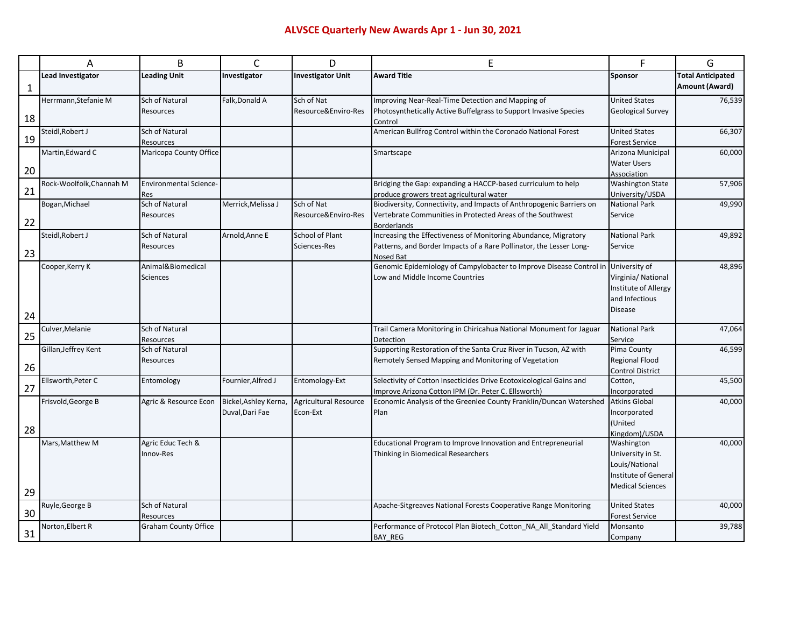|    | Α                        | B                             | С                     | D                            | E                                                                                | F                                       | G                        |  |
|----|--------------------------|-------------------------------|-----------------------|------------------------------|----------------------------------------------------------------------------------|-----------------------------------------|--------------------------|--|
|    | <b>Lead Investigator</b> | <b>Leading Unit</b>           | Investigator          | <b>Investigator Unit</b>     | <b>Award Title</b>                                                               | Sponsor                                 | <b>Total Anticipated</b> |  |
| 1  |                          |                               |                       |                              |                                                                                  |                                         | Amount (Award)           |  |
|    | Herrmann, Stefanie M     | Sch of Natural                | Falk, Donald A        | Sch of Nat                   | Improving Near-Real-Time Detection and Mapping of                                | <b>United States</b>                    | 76,539                   |  |
|    |                          | Resources                     |                       | Resource&Enviro-Res          | Photosynthetically Active Buffelgrass to Support Invasive Species                | <b>Geological Survey</b>                |                          |  |
| 18 |                          |                               |                       |                              | Control                                                                          |                                         |                          |  |
| 19 | Steidl, Robert J         | Sch of Natural                |                       |                              | American Bullfrog Control within the Coronado National Forest                    | <b>United States</b>                    | 66,307                   |  |
|    | Martin, Edward C         | Resources                     |                       |                              |                                                                                  | <b>Forest Service</b>                   |                          |  |
|    |                          | Maricopa County Office        |                       |                              | Smartscape                                                                       | Arizona Municipal<br><b>Water Users</b> | 60,000                   |  |
| 20 |                          |                               |                       |                              |                                                                                  | Association                             |                          |  |
|    | Rock-Woolfolk, Channah M | <b>Environmental Science-</b> |                       |                              | Bridging the Gap: expanding a HACCP-based curriculum to help                     | <b>Washington State</b>                 | 57,906                   |  |
| 21 |                          | Res                           |                       |                              | produce growers treat agricultural water                                         | University/USDA                         |                          |  |
|    | Bogan, Michael           | Sch of Natural                | Merrick, Melissa J    | Sch of Nat                   | Biodiversity, Connectivity, and Impacts of Anthropogenic Barriers on             | <b>National Park</b>                    | 49,990                   |  |
|    |                          | Resources                     |                       | Resource&Enviro-Res          | Vertebrate Communities in Protected Areas of the Southwest                       | Service                                 |                          |  |
| 22 |                          |                               |                       |                              | <b>Borderlands</b>                                                               |                                         |                          |  |
|    | Steidl, Robert J         | Sch of Natural                | Arnold, Anne E        | School of Plant              | Increasing the Effectiveness of Monitoring Abundance, Migratory                  | <b>National Park</b>                    | 49,892                   |  |
| 23 |                          | Resources                     |                       | Sciences-Res                 | Patterns, and Border Impacts of a Rare Pollinator, the Lesser Long-              | Service                                 |                          |  |
|    | Cooper, Kerry K          | Animal&Biomedical             |                       |                              | Nosed Bat<br>Genomic Epidemiology of Campylobacter to Improve Disease Control in | University of                           | 48,896                   |  |
|    |                          | Sciences                      |                       |                              | Low and Middle Income Countries                                                  | Virginia/ National                      |                          |  |
|    |                          |                               |                       |                              |                                                                                  | Institute of Allergy                    |                          |  |
|    |                          |                               |                       |                              |                                                                                  | and Infectious                          |                          |  |
|    |                          |                               |                       |                              |                                                                                  | <b>Disease</b>                          |                          |  |
| 24 |                          |                               |                       |                              |                                                                                  |                                         |                          |  |
|    | Culver, Melanie          | Sch of Natural                |                       |                              | Trail Camera Monitoring in Chiricahua National Monument for Jaguar               | <b>National Park</b>                    | 47,064                   |  |
| 25 |                          | Resources                     |                       |                              | Detection                                                                        | Service                                 |                          |  |
|    | Gillan, Jeffrey Kent     | Sch of Natural                |                       |                              | Supporting Restoration of the Santa Cruz River in Tucson, AZ with                | Pima County                             | 46,599                   |  |
| 26 |                          | Resources                     |                       |                              | Remotely Sensed Mapping and Monitoring of Vegetation                             | <b>Regional Flood</b>                   |                          |  |
|    | Ellsworth, Peter C       | Entomology                    | Fournier, Alfred J    | Entomology-Ext               | Selectivity of Cotton Insecticides Drive Ecotoxicological Gains and              | <b>Control District</b><br>Cotton,      | 45,500                   |  |
| 27 |                          |                               |                       |                              | Improve Arizona Cotton IPM (Dr. Peter C. Ellsworth)                              | Incorporated                            |                          |  |
|    | Frisvold, George B       | Agric & Resource Econ         | Bickel, Ashley Kerna, | <b>Agricultural Resource</b> | Economic Analysis of the Greenlee County Franklin/Duncan Watershed               | <b>Atkins Global</b>                    | 40,000                   |  |
|    |                          |                               | Duval, Dari Fae       | Econ-Ext                     | Plan                                                                             | Incorporated                            |                          |  |
|    |                          |                               |                       |                              |                                                                                  | (United                                 |                          |  |
| 28 |                          |                               |                       |                              |                                                                                  | Kingdom)/USDA                           |                          |  |
|    | Mars, Matthew M          | Agric Educ Tech &             |                       |                              | Educational Program to Improve Innovation and Entrepreneurial                    | Washington                              | 40,000                   |  |
|    |                          | Innov-Res                     |                       |                              | Thinking in Biomedical Researchers                                               | University in St.                       |                          |  |
|    |                          |                               |                       |                              |                                                                                  | Louis/National                          |                          |  |
|    |                          |                               |                       |                              |                                                                                  | Institute of General                    |                          |  |
| 29 |                          |                               |                       |                              |                                                                                  | <b>Medical Sciences</b>                 |                          |  |
|    | Ruyle, George B          | Sch of Natural                |                       |                              | Apache-Sitgreaves National Forests Cooperative Range Monitoring                  | <b>United States</b>                    | 40,000                   |  |
| 30 |                          | Resources                     |                       |                              |                                                                                  | <b>Forest Service</b>                   |                          |  |
|    | Norton, Elbert R         | <b>Graham County Office</b>   |                       |                              | Performance of Protocol Plan Biotech_Cotton_NA_All_Standard Yield                | Monsanto                                | 39,788                   |  |
| 31 |                          |                               |                       |                              | BAY_REG                                                                          | Company                                 |                          |  |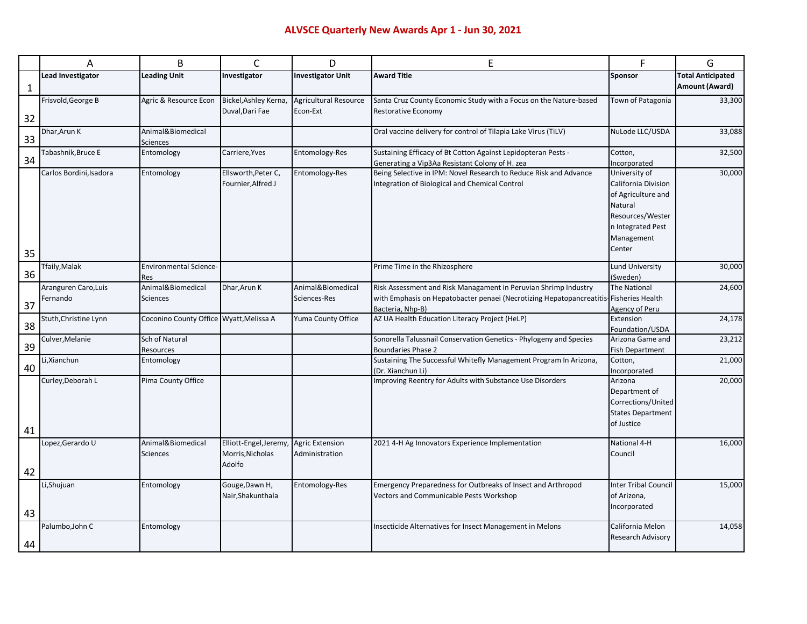## **ALVSCE Quarterly New Awards Apr 1 - Jun 30, 2021**

|    | A                                | B                                           | C                                                   | D                                        | E                                                                                                                                                                            | F                                                                                                                                                | G                        |
|----|----------------------------------|---------------------------------------------|-----------------------------------------------------|------------------------------------------|------------------------------------------------------------------------------------------------------------------------------------------------------------------------------|--------------------------------------------------------------------------------------------------------------------------------------------------|--------------------------|
|    | <b>Lead Investigator</b>         | <b>Leading Unit</b>                         | Investigator                                        | <b>Investigator Unit</b>                 | <b>Award Title</b>                                                                                                                                                           | <b>Sponsor</b>                                                                                                                                   | <b>Total Anticipated</b> |
| 1  |                                  |                                             |                                                     |                                          |                                                                                                                                                                              |                                                                                                                                                  | <b>Amount (Award)</b>    |
| 32 | Frisvold, George B               | Agric & Resource Econ                       | Bickel, Ashley Kerna,<br>Duval, Dari Fae            | <b>Agricultural Resource</b><br>Econ-Ext | Santa Cruz County Economic Study with a Focus on the Nature-based<br>Restorative Economy                                                                                     | Town of Patagonia                                                                                                                                | 33,300                   |
| 33 | Dhar, Arun K                     | Animal&Biomedical<br>Sciences               |                                                     |                                          | Oral vaccine delivery for control of Tilapia Lake Virus (TiLV)                                                                                                               | NuLode LLC/USDA                                                                                                                                  | 33,088                   |
| 34 | Tabashnik,Bruce E                | Entomology                                  | Carriere, Yves                                      | Entomology-Res                           | Sustaining Efficacy of Bt Cotton Against Lepidopteran Pests -<br>Generating a Vip3Aa Resistant Colony of H. zea                                                              | Cotton,<br>Incorporated                                                                                                                          | 32,500                   |
| 35 | Carlos Bordini, Isadora          | Entomology                                  | Ellsworth, Peter C,<br>Fournier, Alfred J           | Entomology-Res                           | Being Selective in IPM: Novel Research to Reduce Risk and Advance<br>Integration of Biological and Chemical Control                                                          | University of<br>30,000<br>California Division<br>of Agriculture and<br>Natural<br>Resources/Wester<br>n Integrated Pest<br>Management<br>Center |                          |
| 36 | Tfaily, Malak                    | <b>Environmental Science-</b><br><b>Res</b> |                                                     |                                          | Prime Time in the Rhizosphere                                                                                                                                                | Lund University<br>(Sweden)                                                                                                                      | 30,000                   |
| 37 | Aranguren Caro, Luis<br>Fernando | Animal&Biomedical<br><b>Sciences</b>        | Dhar, Arun K                                        | Animal&Biomedical<br>Sciences-Res        | Risk Assessment and Risk Managament in Peruvian Shrimp Industry<br>with Emphasis on Hepatobacter penaei (Necrotizing Hepatopancreatitis-Fisheries Health<br>Bacteria, Nhp-B) | <b>The National</b><br>Agency of Peru                                                                                                            | 24,600                   |
| 38 | Stuth, Christine Lynn            | Coconino County Office Wyatt, Melissa A     |                                                     | Yuma County Office                       | AZ UA Health Education Literacy Project (HeLP)                                                                                                                               | Extension<br>Foundation/USDA                                                                                                                     | 24,178                   |
| 39 | Culver, Melanie                  | Sch of Natural<br>Resources                 |                                                     |                                          | Sonorella Talussnail Conservation Genetics - Phylogeny and Species<br><b>Boundaries Phase 2</b>                                                                              | Arizona Game and<br><b>Fish Department</b>                                                                                                       | 23,212                   |
| 40 | Li, Xianchun                     | Entomology                                  |                                                     |                                          | Sustaining The Successful Whitefly Management Program In Arizona,<br>(Dr. Xianchun Li)                                                                                       | Cotton,<br>Incorporated                                                                                                                          | 21,000                   |
| 41 | Curley, Deborah L                | Pima County Office                          |                                                     |                                          | Improving Reentry for Adults with Substance Use Disorders                                                                                                                    | Arizona<br>Department of<br>Corrections/United<br><b>States Department</b><br>of Justice                                                         | 20,000                   |
| 42 | Lopez, Gerardo U                 | Animal&Biomedical<br><b>Sciences</b>        | Elliott-Engel,Jeremy,<br>Morris, Nicholas<br>Adolfo | <b>Agric Extension</b><br>Administration | 2021 4-H Ag Innovators Experience Implementation                                                                                                                             | National 4-H<br>Council                                                                                                                          | 16,000                   |
| 43 | Li,Shujuan                       | Entomology                                  | Gouge, Dawn H,<br>Nair, Shakunthala                 | Entomology-Res                           | Emergency Preparedness for Outbreaks of Insect and Arthropod<br>Vectors and Communicable Pests Workshop                                                                      | <b>Inter Tribal Council</b><br>of Arizona,<br>Incorporated                                                                                       | 15,000                   |
| 44 | Palumbo, John C                  | Entomology                                  |                                                     |                                          | Insecticide Alternatives for Insect Management in Melons                                                                                                                     | California Melon<br><b>Research Advisory</b>                                                                                                     | 14,058                   |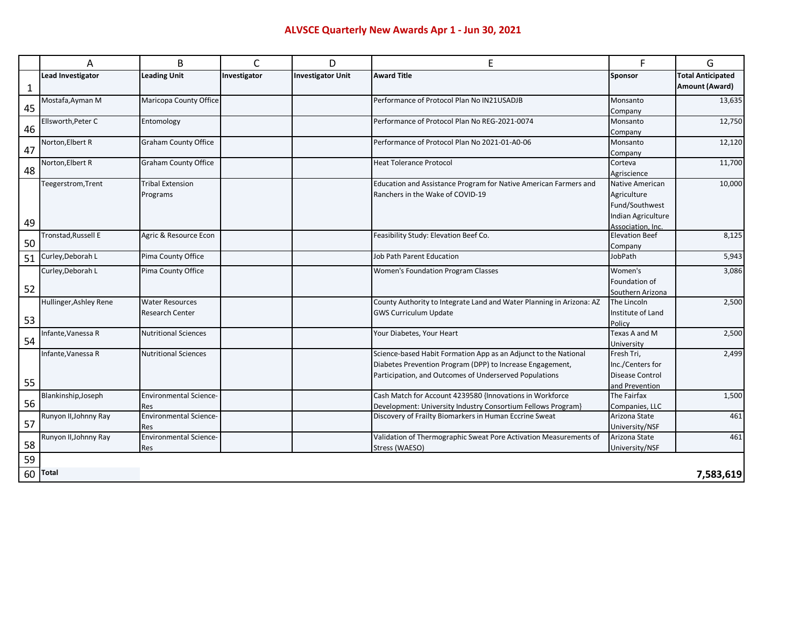|    | Α                        | B                                    | C            | D                        | E                                                                    | F                                         | G                        |
|----|--------------------------|--------------------------------------|--------------|--------------------------|----------------------------------------------------------------------|-------------------------------------------|--------------------------|
|    | <b>Lead Investigator</b> | <b>Leading Unit</b>                  | Investigator | <b>Investigator Unit</b> | <b>Award Title</b>                                                   | Sponsor                                   | <b>Total Anticipated</b> |
| 1  |                          |                                      |              |                          |                                                                      |                                           | Amount (Award)           |
|    | Mostafa, Ayman M         | Maricopa County Office               |              |                          | Performance of Protocol Plan No IN21USADJB                           | Monsanto                                  | 13,635                   |
| 45 |                          |                                      |              |                          |                                                                      | Company                                   |                          |
|    | Ellsworth.Peter C        | Entomology                           |              |                          | Performance of Protocol Plan No REG-2021-0074                        | Monsanto                                  | 12,750                   |
| 46 |                          |                                      |              |                          |                                                                      | Company                                   |                          |
| 47 | Norton, Elbert R         | <b>Graham County Office</b>          |              |                          | Performance of Protocol Plan No 2021-01-A0-06                        | Monsanto                                  | 12,120                   |
|    |                          |                                      |              |                          |                                                                      | Company                                   |                          |
| 48 | Norton, Elbert R         | <b>Graham County Office</b>          |              |                          | <b>Heat Tolerance Protocol</b>                                       | Corteva                                   | 11,700                   |
|    |                          |                                      |              |                          |                                                                      | Agriscience                               |                          |
|    | Teegerstrom, Trent       | <b>Tribal Extension</b>              |              |                          | Education and Assistance Program for Native American Farmers and     | Native American                           | 10,000                   |
|    |                          | Programs                             |              |                          | Ranchers in the Wake of COVID-19                                     | Agriculture<br>Fund/Southwest             |                          |
|    |                          |                                      |              |                          |                                                                      |                                           |                          |
| 49 |                          |                                      |              |                          |                                                                      | Indian Agriculture                        |                          |
|    | Tronstad, Russell E      | Agric & Resource Econ                |              |                          | Feasibility Study: Elevation Beef Co.                                | Association, Inc<br><b>Elevation Beef</b> | 8,125                    |
| 50 |                          |                                      |              |                          |                                                                      | Company                                   |                          |
| 51 | Curley, Deborah L        | Pima County Office                   |              |                          | <b>Job Path Parent Education</b>                                     | JobPath                                   | 5,943                    |
|    | Curley, Deborah L        | Pima County Office                   |              |                          | <b>Women's Foundation Program Classes</b>                            | Women's                                   | 3,086                    |
|    |                          |                                      |              |                          |                                                                      | Foundation of                             |                          |
| 52 |                          |                                      |              |                          |                                                                      | Southern Arizona                          |                          |
|    | Hullinger, Ashley Rene   | <b>Water Resources</b>               |              |                          | County Authority to Integrate Land and Water Planning in Arizona: AZ | The Lincoln                               | 2,500                    |
|    |                          | Research Center                      |              |                          | <b>GWS Curriculum Update</b>                                         | Institute of Land                         |                          |
| 53 |                          |                                      |              |                          |                                                                      | Policy                                    |                          |
|    | Infante, Vanessa R       | <b>Nutritional Sciences</b>          |              |                          | Your Diabetes, Your Heart                                            | Texas A and M                             | 2,500                    |
| 54 |                          |                                      |              |                          |                                                                      | University                                |                          |
|    | Infante, Vanessa R       | <b>Nutritional Sciences</b>          |              |                          | Science-based Habit Formation App as an Adjunct to the National      | Fresh Tri,                                | 2,499                    |
|    |                          |                                      |              |                          | Diabetes Prevention Program (DPP) to Increase Engagement,            | Inc./Centers for                          |                          |
| 55 |                          |                                      |              |                          | Participation, and Outcomes of Underserved Populations               | <b>Disease Control</b>                    |                          |
|    |                          |                                      |              |                          |                                                                      | and Prevention                            |                          |
| 56 | Blankinship, Joseph      | <b>Environmental Science-</b>        |              |                          | Cash Match for Account 4239580 {Innovations in Workforce             | The Fairfax                               | 1,500                    |
|    |                          | Res                                  |              |                          | Development: University Industry Consortium Fellows Program}         | Companies, LLC                            |                          |
| 57 | Runyon II, Johnny Ray    | <b>Environmental Science-</b>        |              |                          | Discovery of Frailty Biomarkers in Human Eccrine Sweat               | Arizona State                             | 461                      |
|    | Runyon II, Johnny Ray    | Res<br><b>Environmental Science-</b> |              |                          | Validation of Thermographic Sweat Pore Activation Measurements of    | University/NSF<br>Arizona State           | 461                      |
| 58 |                          | Res                                  |              |                          | Stress (WAESO)                                                       | University/NSF                            |                          |
|    |                          |                                      |              |                          |                                                                      |                                           |                          |
| 59 |                          |                                      |              |                          |                                                                      |                                           |                          |
| 60 | <b>Total</b>             |                                      |              |                          |                                                                      |                                           | 7,583,619                |